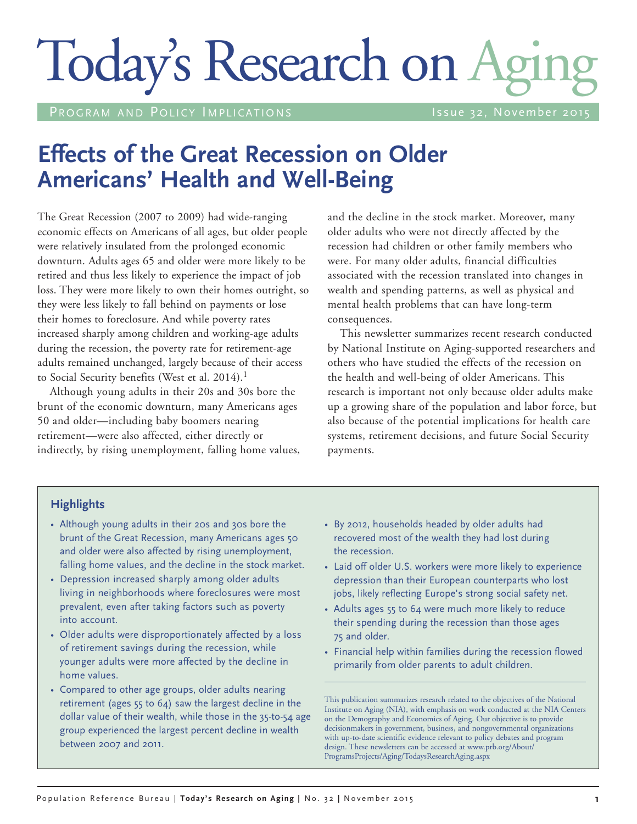# Today's Research on Aging

PROGRAM AND POLICY IMPLICATIONS THE RESIDENT RISSUE 32, November 2015

# **Effects of the Great Recession on Older Americans' Health and Well-Being**

The Great Recession (2007 to 2009) had wide-ranging economic effects on Americans of all ages, but older people were relatively insulated from the prolonged economic downturn. Adults ages 65 and older were more likely to be retired and thus less likely to experience the impact of job loss. They were more likely to own their homes outright, so they were less likely to fall behind on payments or lose their homes to foreclosure. And while poverty rates increased sharply among children and working-age adults during the recession, the poverty rate for retirement-age adults remained unchanged, largely because of their access to Social Security benefits (West et al. 2014).<sup>1</sup>

Although young adults in their 20s and 30s bore the brunt of the economic downturn, many Americans ages 50 and older—including baby boomers nearing retirement—were also affected, either directly or indirectly, by rising unemployment, falling home values, and the decline in the stock market. Moreover, many older adults who were not directly affected by the recession had children or other family members who were. For many older adults, financial difficulties associated with the recession translated into changes in wealth and spending patterns, as well as physical and mental health problems that can have long-term consequences.

This newsletter summarizes recent research conducted by National Institute on Aging-supported researchers and others who have studied the effects of the recession on the health and well-being of older Americans. This research is important not only because older adults make up a growing share of the population and labor force, but also because of the potential implications for health care systems, retirement decisions, and future Social Security payments.

#### **Highlights**

- Although young adults in their 20s and 30s bore the brunt of the Great Recession, many Americans ages 50 and older were also affected by rising unemployment, falling home values, and the decline in the stock market.
- Depression increased sharply among older adults living in neighborhoods where foreclosures were most prevalent, even after taking factors such as poverty into account.
- Older adults were disproportionately affected by a loss of retirement savings during the recession, while younger adults were more affected by the decline in home values.
- Compared to other age groups, older adults nearing retirement (ages 55 to 64) saw the largest decline in the dollar value of their wealth, while those in the 35-to-54 age group experienced the largest percent decline in wealth between 2007 and 2011.
- • By 2012, households headed by older adults had recovered most of the wealth they had lost during the recession.
- Laid off older U.S. workers were more likely to experience depression than their European counterparts who lost jobs, likely reflecting Europe's strong social safety net.
- Adults ages 55 to 64 were much more likely to reduce their spending during the recession than those ages 75 and older.
- Financial help within families during the recession flowed primarily from older parents to adult children.

This publication summarizes research related to the objectives of the National Institute on Aging (NIA), with emphasis on work conducted at the NIA Centers on the Demography and Economics of Aging. Our objective is to provide decisionmakers in government, business, and nongovernmental organizations with up-to-date scientific evidence relevant to policy debates and program design. These newsletters can be accessed at www.prb.org/About/ ProgramsProjects/Aging/TodaysResearchAging.aspx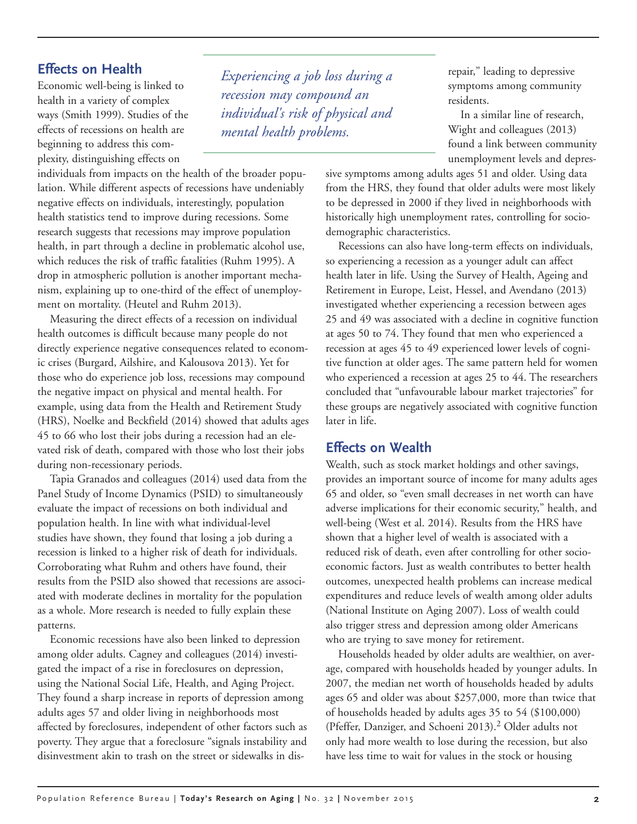### **Effects on Health**

Economic well-being is linked to health in a variety of complex ways (Smith 1999). Studies of the effects of recessions on health are beginning to address this complexity, distinguishing effects on

individuals from impacts on the health of the broader population. While different aspects of recessions have undeniably negative effects on individuals, interestingly, population health statistics tend to improve during recessions. Some research suggests that recessions may improve population health, in part through a decline in problematic alcohol use, which reduces the risk of traffic fatalities (Ruhm 1995). A drop in atmospheric pollution is another important mechanism, explaining up to one-third of the effect of unemployment on mortality. (Heutel and Ruhm 2013).

Measuring the direct effects of a recession on individual health outcomes is difficult because many people do not directly experience negative consequences related to economic crises (Burgard, Ailshire, and Kalousova 2013). Yet for those who do experience job loss, recessions may compound the negative impact on physical and mental health. For example, using data from the Health and Retirement Study (HRS), Noelke and Beckfield (2014) showed that adults ages 45 to 66 who lost their jobs during a recession had an elevated risk of death, compared with those who lost their jobs during non-recessionary periods.

Tapia Granados and colleagues (2014) used data from the Panel Study of Income Dynamics (PSID) to simultaneously evaluate the impact of recessions on both individual and population health. In line with what individual-level studies have shown, they found that losing a job during a recession is linked to a higher risk of death for individuals. Corroborating what Ruhm and others have found, their results from the PSID also showed that recessions are associated with moderate declines in mortality for the population as a whole. More research is needed to fully explain these patterns.

Economic recessions have also been linked to depression among older adults. Cagney and colleagues (2014) investigated the impact of a rise in foreclosures on depression, using the National Social Life, Health, and Aging Project. They found a sharp increase in reports of depression among adults ages 57 and older living in neighborhoods most affected by foreclosures, independent of other factors such as poverty. They argue that a foreclosure "signals instability and disinvestment akin to trash on the street or sidewalks in dis-

*Experiencing a job loss during a recession may compound an individual's risk of physical and mental health problems.*

repair," leading to depressive symptoms among community residents.

In a similar line of research, Wight and colleagues (2013) found a link between community unemployment levels and depres-

sive symptoms among adults ages 51 and older. Using data from the HRS, they found that older adults were most likely to be depressed in 2000 if they lived in neighborhoods with historically high unemployment rates, controlling for sociodemographic characteristics.

Recessions can also have long-term effects on individuals, so experiencing a recession as a younger adult can affect health later in life. Using the Survey of Health, Ageing and Retirement in Europe, Leist, Hessel, and Avendano (2013) investigated whether experiencing a recession between ages 25 and 49 was associated with a decline in cognitive function at ages 50 to 74. They found that men who experienced a recession at ages 45 to 49 experienced lower levels of cognitive function at older ages. The same pattern held for women who experienced a recession at ages 25 to 44. The researchers concluded that "unfavourable labour market trajectories" for these groups are negatively associated with cognitive function later in life.

#### **Effects on Wealth**

Wealth, such as stock market holdings and other savings, provides an important source of income for many adults ages 65 and older, so "even small decreases in net worth can have adverse implications for their economic security," health, and well-being (West et al. 2014). Results from the HRS have shown that a higher level of wealth is associated with a reduced risk of death, even after controlling for other socioeconomic factors. Just as wealth contributes to better health outcomes, unexpected health problems can increase medical expenditures and reduce levels of wealth among older adults (National Institute on Aging 2007). Loss of wealth could also trigger stress and depression among older Americans who are trying to save money for retirement.

Households headed by older adults are wealthier, on average, compared with households headed by younger adults. In 2007, the median net worth of households headed by adults ages 65 and older was about \$257,000, more than twice that of households headed by adults ages 35 to 54 (\$100,000) (Pfeffer, Danziger, and Schoeni 2013).<sup>2</sup> Older adults not only had more wealth to lose during the recession, but also have less time to wait for values in the stock or housing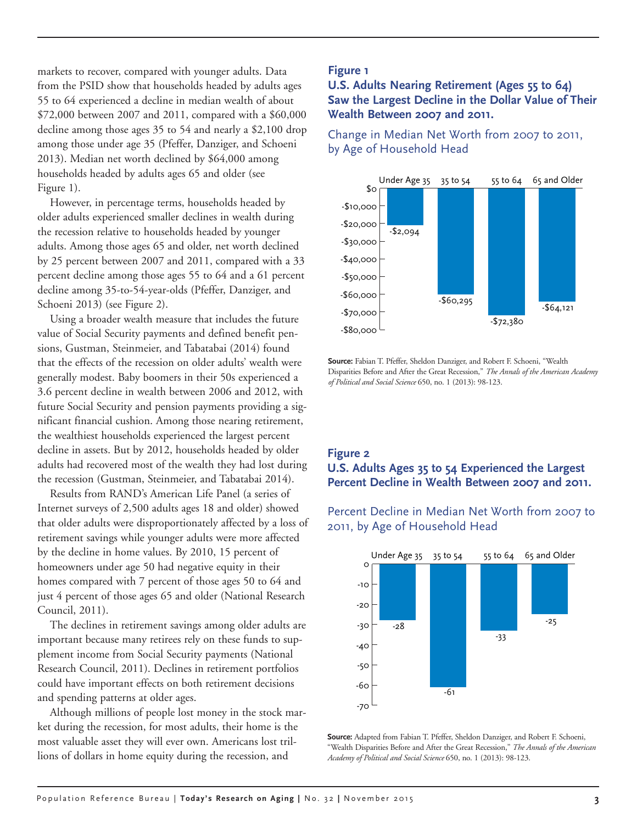markets to recover, compared with younger adults. Data from the PSID show that households headed by adults ages 55 to 64 experienced a decline in median wealth of about \$72,000 between 2007 and 2011, compared with a \$60,000 decline among those ages 35 to 54 and nearly a \$2,100 drop among those under age 35 (Pfeffer, Danziger, and Schoeni 2013). Median net worth declined by \$64,000 among households headed by adults ages 65 and older (see Figure 1).

However, in percentage terms, households headed by older adults experienced smaller declines in wealth during the recession relative to households headed by younger adults. Among those ages 65 and older, net worth declined by 25 percent between 2007 and 2011, compared with a 33 percent decline among those ages 55 to 64 and a 61 percent decline among 35-to-54-year-olds (Pfeffer, Danziger, and Schoeni 2013) (see Figure 2).

Using a broader wealth measure that includes the future value of Social Security payments and defined benefit pensions, Gustman, Steinmeier, and Tabatabai (2014) found that the effects of the recession on older adults' wealth were generally modest. Baby boomers in their 50s experienced a 3.6 percent decline in wealth between 2006 and 2012, with future Social Security and pension payments providing a significant financial cushion. Among those nearing retirement, the wealthiest households experienced the largest percent decline in assets. But by 2012, households headed by older adults had recovered most of the wealth they had lost during the recession (Gustman, Steinmeier, and Tabatabai 2014).

Results from RAND's American Life Panel (a series of Internet surveys of 2,500 adults ages 18 and older) showed that older adults were disproportionately affected by a loss of retirement savings while younger adults were more affected by the decline in home values. By 2010, 15 percent of by the decline in home values. By 2010, 15 percent of the contract the contract of the contract of the contract of the contract of the contract of the contract of the contract of the contract of the contract of the contrac homes compared with 7 percent of those ages 50 to 64 and just 4 percent of those ages 65 and older (National Research Council, 2011).

anch, 2011).<br>The declines in retirement savings among older adults are important because many retirees rely on these funds to supplement income from Social Security payments (National Research Council, 2011). Declines in retirement portfolios could have important effects on both retirement decisions and spending patterns at older ages. ects on both retirement decision

Although millions of people lost money in the stock market during the recession, for most adults, their home is the most valuable asset they will ever own. Americans lost trillions of dollars in home equity during the recession, and

#### **Figure 1**

#### **U.S. Adults Nearing Retirement (Ages 55 to 64) Saw the Largest Decline in the Dollar Value of Their Wealth Between 2007 and 2011.**

Change in Median Net Worth from 2007 to 2011, by Age of Household Head



**Source:** Fabian T. Pfeffer, Sheldon Danziger, and Robert F. Schoeni, "Wealth Disparities Before and After the Great Recession," *The Annals of the American Academy of Political and Social Science* 650, no. 1 (2013): 98-123.

# **Figure 2**

#### **U.S. Adults Ages 35 to 54 Experienced the Largest Percent Decline in Wealth Between 2007 and 2011.**

Percent Decline in Median Net Worth from 2007 to 2011, by Age of Household Head



**Source:** Adapted from Fabian T. Pfeffer, Sheldon Danziger, and Robert F. Schoeni, "Wealth Disparities Before and After the Great Recession," *The Annals of the American Academy of Political and Social Science* 650, no. 1 (2013): 98-123.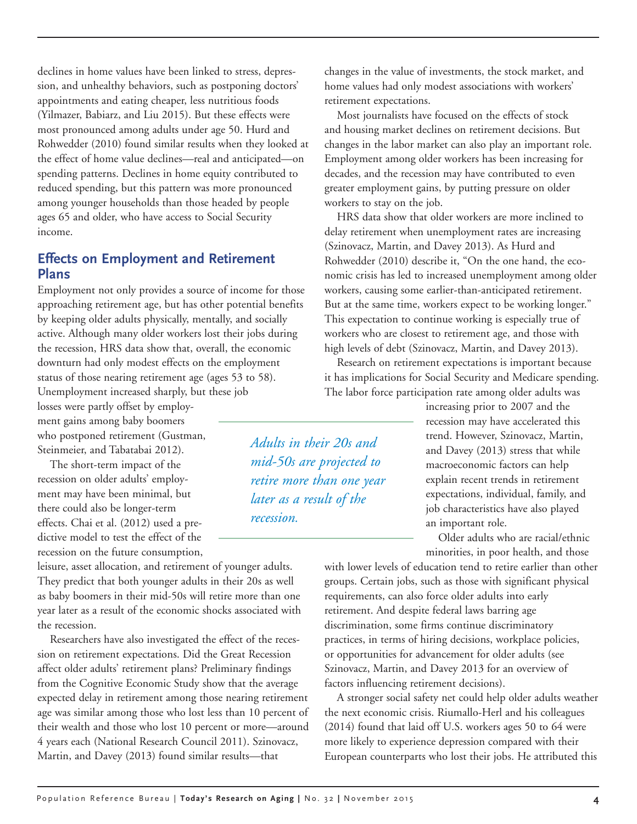declines in home values have been linked to stress, depression, and unhealthy behaviors, such as postponing doctors' appointments and eating cheaper, less nutritious foods (Yilmazer, Babiarz, and Liu 2015). But these effects were most pronounced among adults under age 50. Hurd and Rohwedder (2010) found similar results when they looked at the effect of home value declines—real and anticipated—on spending patterns. Declines in home equity contributed to reduced spending, but this pattern was more pronounced among younger households than those headed by people ages 65 and older, who have access to Social Security income.

#### **Effects on Employment and Retirement Plans**

Employment not only provides a source of income for those approaching retirement age, but has other potential benefits by keeping older adults physically, mentally, and socially active. Although many older workers lost their jobs during the recession, HRS data show that, overall, the economic downturn had only modest effects on the employment status of those nearing retirement age (ages 53 to 58). Unemployment increased sharply, but these job

losses were partly offset by employment gains among baby boomers who postponed retirement (Gustman, Steinmeier, and Tabatabai 2012).

The short-term impact of the recession on older adults' employment may have been minimal, but there could also be longer-term effects. Chai et al. (2012) used a predictive model to test the effect of the recession on the future consumption,

leisure, asset allocation, and retirement of younger adults. They predict that both younger adults in their 20s as well as baby boomers in their mid-50s will retire more than one year later as a result of the economic shocks associated with the recession.

Researchers have also investigated the effect of the recession on retirement expectations. Did the Great Recession affect older adults' retirement plans? Preliminary findings from the Cognitive Economic Study show that the average expected delay in retirement among those nearing retirement age was similar among those who lost less than 10 percent of their wealth and those who lost 10 percent or more—around 4 years each (National Research Council 2011). Szinovacz, Martin, and Davey (2013) found similar results—that

changes in the value of investments, the stock market, and home values had only modest associations with workers' retirement expectations.

Most journalists have focused on the effects of stock and housing market declines on retirement decisions. But changes in the labor market can also play an important role. Employment among older workers has been increasing for decades, and the recession may have contributed to even greater employment gains, by putting pressure on older workers to stay on the job.

HRS data show that older workers are more inclined to delay retirement when unemployment rates are increasing (Szinovacz, Martin, and Davey 2013). As Hurd and Rohwedder (2010) describe it, "On the one hand, the economic crisis has led to increased unemployment among older workers, causing some earlier-than-anticipated retirement. But at the same time, workers expect to be working longer." This expectation to continue working is especially true of workers who are closest to retirement age, and those with high levels of debt (Szinovacz, Martin, and Davey 2013).

Research on retirement expectations is important because it has implications for Social Security and Medicare spending. The labor force participation rate among older adults was

> increasing prior to 2007 and the recession may have accelerated this trend. However, Szinovacz, Martin, and Davey (2013) stress that while macroeconomic factors can help explain recent trends in retirement expectations, individual, family, and job characteristics have also played an important role.

Older adults who are racial/ethnic minorities, in poor health, and those

with lower levels of education tend to retire earlier than other groups. Certain jobs, such as those with significant physical requirements, can also force older adults into early retirement. And despite federal laws barring age discrimination, some firms continue discriminatory practices, in terms of hiring decisions, workplace policies, or opportunities for advancement for older adults (see Szinovacz, Martin, and Davey 2013 for an overview of factors influencing retirement decisions).

A stronger social safety net could help older adults weather the next economic crisis. Riumallo-Herl and his colleagues (2014) found that laid off U.S. workers ages 50 to 64 were more likely to experience depression compared with their European counterparts who lost their jobs. He attributed this

*Adults in their 20s and mid-50s are projected to retire more than one year later as a result of the recession.*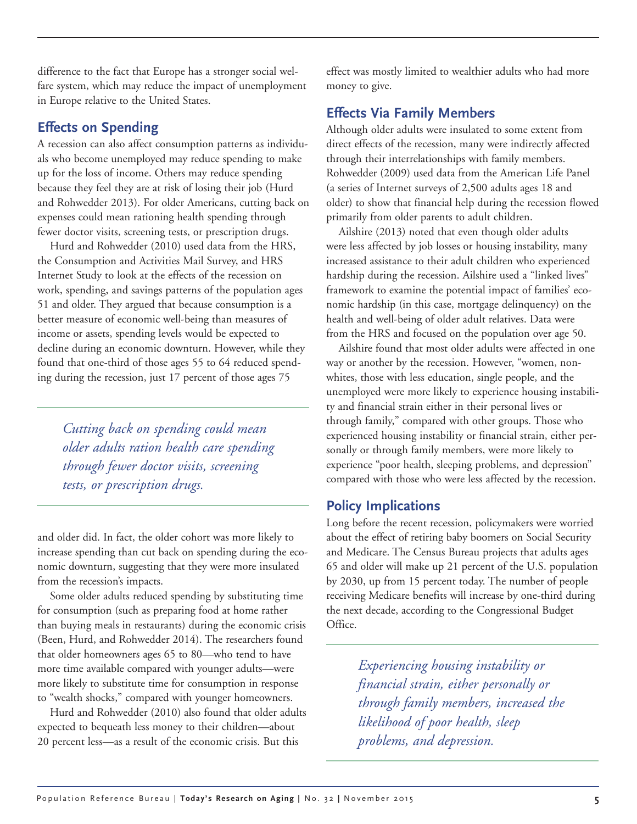difference to the fact that Europe has a stronger social welfare system, which may reduce the impact of unemployment in Europe relative to the United States.

### **Effects on Spending**

A recession can also affect consumption patterns as individuals who become unemployed may reduce spending to make up for the loss of income. Others may reduce spending because they feel they are at risk of losing their job (Hurd and Rohwedder 2013). For older Americans, cutting back on expenses could mean rationing health spending through fewer doctor visits, screening tests, or prescription drugs.

Hurd and Rohwedder (2010) used data from the HRS, the Consumption and Activities Mail Survey, and HRS Internet Study to look at the effects of the recession on work, spending, and savings patterns of the population ages 51 and older. They argued that because consumption is a better measure of economic well-being than measures of income or assets, spending levels would be expected to decline during an economic downturn. However, while they found that one-third of those ages 55 to 64 reduced spending during the recession, just 17 percent of those ages 75

*Cutting back on spending could mean older adults ration health care spending through fewer doctor visits, screening tests, or prescription drugs.*

and older did. In fact, the older cohort was more likely to increase spending than cut back on spending during the economic downturn, suggesting that they were more insulated from the recession's impacts.

Some older adults reduced spending by substituting time for consumption (such as preparing food at home rather than buying meals in restaurants) during the economic crisis (Been, Hurd, and Rohwedder 2014). The researchers found that older homeowners ages 65 to 80—who tend to have more time available compared with younger adults—were more likely to substitute time for consumption in response to "wealth shocks," compared with younger homeowners.

Hurd and Rohwedder (2010) also found that older adults expected to bequeath less money to their children—about 20 percent less—as a result of the economic crisis. But this

effect was mostly limited to wealthier adults who had more money to give.

# **Effects Via Family Members**

Although older adults were insulated to some extent from direct effects of the recession, many were indirectly affected through their interrelationships with family members. Rohwedder (2009) used data from the American Life Panel (a series of Internet surveys of 2,500 adults ages 18 and older) to show that financial help during the recession flowed primarily from older parents to adult children.

Ailshire (2013) noted that even though older adults were less affected by job losses or housing instability, many increased assistance to their adult children who experienced hardship during the recession. Ailshire used a "linked lives" framework to examine the potential impact of families' economic hardship (in this case, mortgage delinquency) on the health and well-being of older adult relatives. Data were from the HRS and focused on the population over age 50.

Ailshire found that most older adults were affected in one way or another by the recession. However, "women, nonwhites, those with less education, single people, and the unemployed were more likely to experience housing instability and financial strain either in their personal lives or through family," compared with other groups. Those who experienced housing instability or financial strain, either personally or through family members, were more likely to experience "poor health, sleeping problems, and depression" compared with those who were less affected by the recession.

# **Policy Implications**

Long before the recent recession, policymakers were worried about the effect of retiring baby boomers on Social Security and Medicare. The Census Bureau projects that adults ages 65 and older will make up 21 percent of the U.S. population by 2030, up from 15 percent today. The number of people receiving Medicare benefits will increase by one-third during the next decade, according to the Congressional Budget Office.

> *Experiencing housing instability or financial strain, either personally or through family members, increased the likelihood of poor health, sleep problems, and depression.*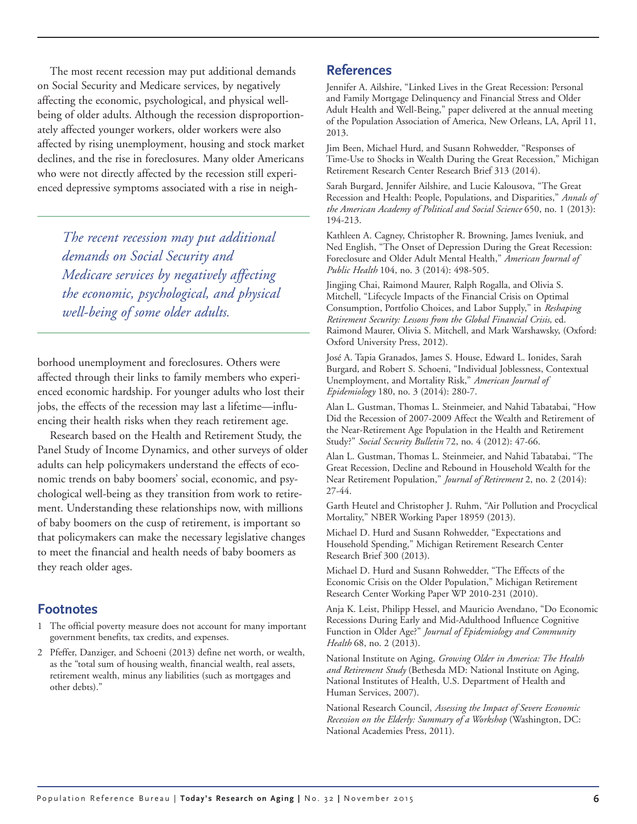The most recent recession may put additional demands on Social Security and Medicare services, by negatively affecting the economic, psychological, and physical wellbeing of older adults. Although the recession disproportionately affected younger workers, older workers were also affected by rising unemployment, housing and stock market declines, and the rise in foreclosures. Many older Americans who were not directly affected by the recession still experienced depressive symptoms associated with a rise in neigh-

*The recent recession may put additional demands on Social Security and Medicare services by negatively affecting the economic, psychological, and physical well-being of some older adults.*

borhood unemployment and foreclosures. Others were affected through their links to family members who experienced economic hardship. For younger adults who lost their jobs, the effects of the recession may last a lifetime—influencing their health risks when they reach retirement age.

Research based on the Health and Retirement Study, the Panel Study of Income Dynamics, and other surveys of older adults can help policymakers understand the effects of economic trends on baby boomers' social, economic, and psychological well-being as they transition from work to retirement. Understanding these relationships now, with millions of baby boomers on the cusp of retirement, is important so that policymakers can make the necessary legislative changes to meet the financial and health needs of baby boomers as they reach older ages.

#### **Footnotes**

- 1 The official poverty measure does not account for many important government benefits, tax credits, and expenses.
- 2 Pfeffer, Danziger, and Schoeni (2013) define net worth, or wealth, as the "total sum of housing wealth, financial wealth, real assets, retirement wealth, minus any liabilities (such as mortgages and other debts)."

#### **References**

Jennifer A. Ailshire, "Linked Lives in the Great Recession: Personal and Family Mortgage Delinquency and Financial Stress and Older Adult Health and Well-Being," paper delivered at the annual meeting of the Population Association of America, New Orleans, LA, April 11, 2013.

Jim Been, Michael Hurd, and Susann Rohwedder, "Responses of Time-Use to Shocks in Wealth During the Great Recession," Michigan Retirement Research Center Research Brief 313 (2014).

Sarah Burgard, Jennifer Ailshire, and Lucie Kalousova, "The Great Recession and Health: People, Populations, and Disparities," *Annals of the American Academy of Political and Social Science* 650, no. 1 (2013): 194-213.

Kathleen A. Cagney, Christopher R. Browning, James Iveniuk, and Ned English, "The Onset of Depression During the Great Recession: Foreclosure and Older Adult Mental Health," *American Journal of Public Health* 104, no. 3 (2014): 498-505.

Jingjing Chai, Raimond Maurer, Ralph Rogalla, and Olivia S. Mitchell, "Lifecycle Impacts of the Financial Crisis on Optimal Consumption, Portfolio Choices, and Labor Supply," in *Reshaping Retirement Security: Lessons from the Global Financial Crisis,* ed. Raimond Maurer, Olivia S. Mitchell, and Mark Warshawsky, (Oxford: Oxford University Press, 2012).

José A. Tapia Granados, James S. House, Edward L. Ionides, Sarah Burgard, and Robert S. Schoeni, "Individual Joblessness, Contextual Unemployment, and Mortality Risk," *American Journal of Epidemiology* 180, no. 3 (2014): 280-7.

Alan L. Gustman, Thomas L. Steinmeier, and Nahid Tabatabai, "How Did the Recession of 2007-2009 Affect the Wealth and Retirement of the Near-Retirement Age Population in the Health and Retirement Study?" *Social Security Bulletin* 72, no. 4 (2012): 47-66.

[Alan L. Gustman,](http://www.nber.org/people/alan_gustman) [Thomas L. Steinmeier,](http://www.nber.org/people/thomas_steinmeier) and [Nahid Tabatabai,](http://www.nber.org/people/nahid_tabatabai) "The Great Recession, Decline and Rebound in Household Wealth for the Near Retirement Population," *Journal of Retirement* 2, no. 2 (2014): 27-44.

Garth Heutel and Christopher J. Ruhm, "Air Pollution and Procyclical Mortality," NBER Working Paper 18959 (2013).

Michael D. Hurd and Susann Rohwedder, "Expectations and Household Spending," Michigan Retirement Research Center Research Brief 300 (2013).

Michael D. Hurd and Susann Rohwedder, "The Effects of the Economic Crisis on the Older Population," Michigan Retirement Research Center Working Paper WP 2010-231 (2010).

Anja K. Leist, Philipp Hessel, and Mauricio Avendano, "Do Economic Recessions During Early and Mid-Adulthood Influence Cognitive Function in Older Age?" *Journal of Epidemiology and Community Health* 68, no. 2 (2013).

National Institute on Aging, *Growing Older in America: The Health and Retirement Study* (Bethesda MD: National Institute on Aging, National Institutes of Health, U.S. Department of Health and Human Services, 2007).

National Research Council, *Assessing the Impact of Severe Economic Recession on the Elderly: Summary of a Workshop* (Washington, DC: National Academies Press, 2011).